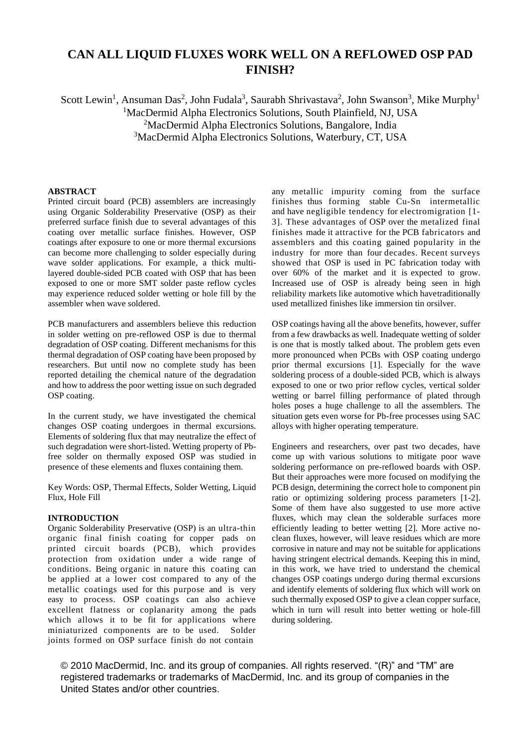# **CAN ALL LIQUID FLUXES WORK WELL ON A REFLOWED OSP PAD FINISH?**

Scott Lewin<sup>1</sup>, Ansuman Das<sup>2</sup>, John Fudala<sup>3</sup>, Saurabh Shrivastava<sup>2</sup>, John Swanson<sup>3</sup>, Mike Murphy<sup>1</sup> <sup>1</sup>MacDermid Alpha Electronics Solutions, South Plainfield, NJ, USA <sup>2</sup>MacDermid Alpha Electronics Solutions, Bangalore, India

<sup>3</sup>MacDermid Alpha Electronics Solutions, Waterbury, CT, USA

## **ABSTRACT**

Printed circuit board (PCB) assemblers are increasingly using Organic Solderability Preservative (OSP) as their preferred surface finish due to several advantages of this coating over metallic surface finishes. However, OSP coatings after exposure to one or more thermal excursions can become more challenging to solder especially during wave solder applications. For example, a thick multilayered double-sided PCB coated with OSP that has been exposed to one or more SMT solder paste reflow cycles may experience reduced solder wetting or hole fill by the assembler when wave soldered.

PCB manufacturers and assemblers believe this reduction in solder wetting on pre-reflowed OSP is due to thermal degradation of OSP coating. Different mechanisms for this thermal degradation of OSP coating have been proposed by researchers. But until now no complete study has been reported detailing the chemical nature of the degradation and how to address the poor wetting issue on such degraded OSP coating.

In the current study, we have investigated the chemical changes OSP coating undergoes in thermal excursions. Elements of soldering flux that may neutralize the effect of such degradation were short-listed. Wetting property of Pbfree solder on thermally exposed OSP was studied in presence of these elements and fluxes containing them.

Key Words: OSP, Thermal Effects, Solder Wetting, Liquid Flux, Hole Fill

### **INTRODUCTION**

Organic Solderability Preservative (OSP) is an ultra-thin organic final finish coating for copper pads on printed circuit boards (PCB), which provides protection from oxidation under a wide range of conditions. Being organic in nature this coating can be applied at a lower cost compared to any of the metallic coatings used for this purpose and is very easy to process. OSP coatings can also achieve excellent flatness or coplanarity among the pads which allows it to be fit for applications where miniaturized components are to be used. Solder joints formed on OSP surface finish do not contain

any metallic impurity coming from the surface finishes thus forming stable Cu-Sn intermetallic and have negligible tendency for electromigration [1- 3]. These advantages of OSP over the metalized final finishes made it attractive for the PCB fabricators and assemblers and this coating gained popularity in the industry for more than four decades. Recent surveys showed that OSP is used in PC fabrication today with over 60% of the market and it is expected to grow. Increased use of OSP is already being seen in high reliability markets like automotive which havetraditionally used metallized finishes like immersion tin orsilver.

OSP coatings having all the above benefits, however, suffer from a few drawbacks as well. Inadequate wetting of solder is one that is mostly talked about. The problem gets even more pronounced when PCBs with OSP coating undergo prior thermal excursions [1]. Especially for the wave soldering process of a double-sided PCB, which is always exposed to one or two prior reflow cycles, vertical solder wetting or barrel filling performance of plated through holes poses a huge challenge to all the assemblers. The situation gets even worse for Pb-free processes using SAC alloys with higher operating temperature.

Engineers and researchers, over past two decades, have come up with various solutions to mitigate poor wave soldering performance on pre-reflowed boards with OSP. But their approaches were more focused on modifying the PCB design, determining the correct hole to component pin ratio or optimizing soldering process parameters [1-2]. Some of them have also suggested to use more active fluxes, which may clean the solderable surfaces more efficiently leading to better wetting [2]. More active noclean fluxes, however, will leave residues which are more corrosive in nature and may not be suitable for applications having stringent electrical demands. Keeping this in mind, in this work, we have tried to understand the chemical changes OSP coatings undergo during thermal excursions and identify elements of soldering flux which will work on such thermally exposed OSP to give a clean copper surface, which in turn will result into better wetting or hole-fill during soldering.

© 2010 MacDermid, Inc. and its group of companies. All rights reserved. "(R)" and "TM" are registered trademarks or trademarks of MacDermid, Inc. and its group of companies in the United States and/or other countries.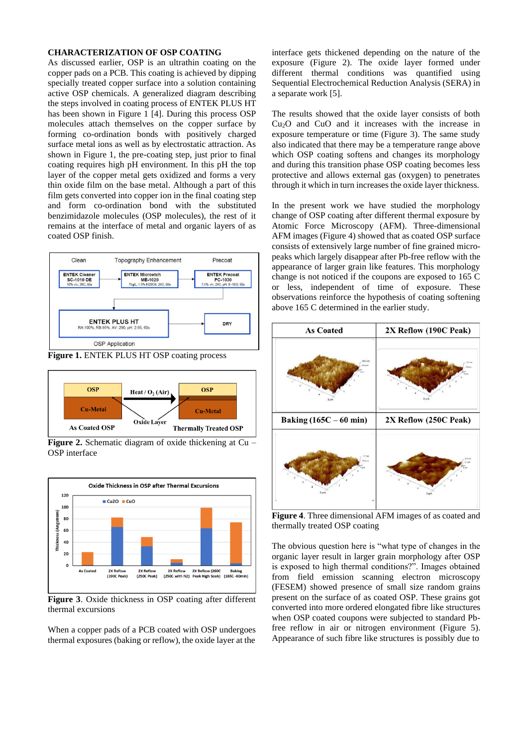# **CHARACTERIZATION OF OSP COATING**

As discussed earlier, OSP is an ultrathin coating on the copper pads on a PCB. This coating is achieved by dipping specially treated copper surface into a solution containing active OSP chemicals. A generalized diagram describing the steps involved in coating process of ENTEK PLUS HT has been shown in Figure 1 [4]. During this process OSP molecules attach themselves on the copper surface by forming co-ordination bonds with positively charged surface metal ions as well as by electrostatic attraction. As shown in Figure 1, the pre-coating step, just prior to final coating requires high pH environment. In this pH the top layer of the copper metal gets oxidized and forms a very thin oxide film on the base metal. Although a part of this film gets converted into copper ion in the final coating step and form co-ordination bond with the substituted benzimidazole molecules (OSP molecules), the rest of it remains at the interface of metal and organic layers of as coated OSP finish.





**Figure 2.** Schematic diagram of oxide thickening at Cu – OSP interface



**Figure 3**. Oxide thickness in OSP coating after different thermal excursions

When a copper pads of a PCB coated with OSP undergoes thermal exposures (baking or reflow), the oxide layer at the interface gets thickened depending on the nature of the exposure (Figure 2). The oxide layer formed under different thermal conditions was quantified using Sequential Electrochemical Reduction Analysis (SERA) in a separate work [5].

The results showed that the oxide layer consists of both  $Cu<sub>2</sub>O$  and  $CuO$  and it increases with the increase in exposure temperature or time (Figure 3). The same study also indicated that there may be a temperature range above which OSP coating softens and changes its morphology and during this transition phase OSP coating becomes less protective and allows external gas (oxygen) to penetrates through it which in turn increases the oxide layer thickness.

In the present work we have studied the morphology change of OSP coating after different thermal exposure by Atomic Force Microscopy (AFM). Three-dimensional AFM images (Figure 4) showed that as coated OSP surface consists of extensively large number of fine grained micropeaks which largely disappear after Pb-free reflow with the appearance of larger grain like features. This morphology change is not noticed if the coupons are exposed to 165 C or less, independent of time of exposure. These observations reinforce the hypothesis of coating softening above 165 C determined in the earlier study.

| <b>As Coated</b>                     | 2X Reflow (190C Peak) |
|--------------------------------------|-----------------------|
| $5 \mu m$                            | $5 \text{ µm}$        |
| Baking $(165C - 60$ min)             | 2X Reflow (250C Peak) |
| $\overline{\mathbf{3}}$<br>$5 \mu m$ | 5 um                  |

**Figure 4**. Three dimensional AFM images of as coated and thermally treated OSP coating

The obvious question here is "what type of changes in the organic layer result in larger grain morphology after OSP is exposed to high thermal conditions?". Images obtained from field emission scanning electron microscopy (FESEM) showed presence of small size random grains present on the surface of as coated OSP. These grains got converted into more ordered elongated fibre like structures when OSP coated coupons were subjected to standard Pbfree reflow in air or nitrogen environment (Figure 5). Appearance of such fibre like structures is possibly due to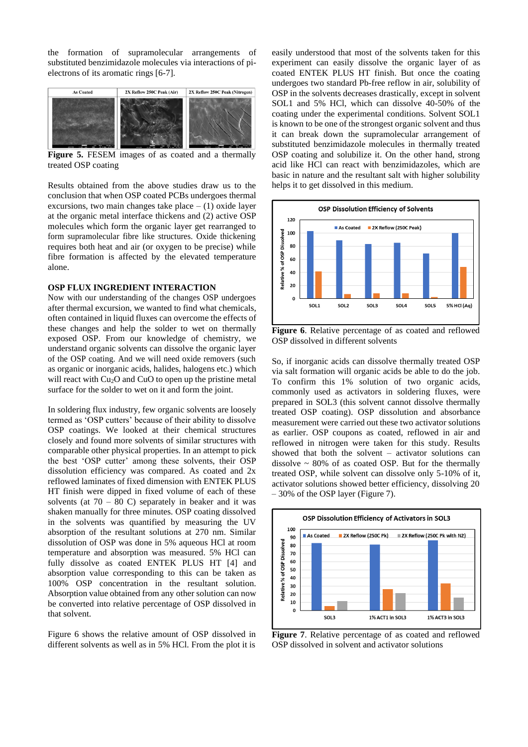the formation of supramolecular arrangements of substituted benzimidazole molecules via interactions of pielectrons of its aromatic rings [6-7].



**Figure 5.** FESEM images of as coated and a thermally treated OSP coating

Results obtained from the above studies draw us to the conclusion that when OSP coated PCBs undergoes thermal excursions, two main changes take place  $- (1)$  oxide layer at the organic metal interface thickens and (2) active OSP molecules which form the organic layer get rearranged to form supramolecular fibre like structures. Oxide thickening requires both heat and air (or oxygen to be precise) while fibre formation is affected by the elevated temperature alone.

# **OSP FLUX INGREDIENT INTERACTION**

Now with our understanding of the changes OSP undergoes after thermal excursion, we wanted to find what chemicals, often contained in liquid fluxes can overcome the effects of these changes and help the solder to wet on thermally exposed OSP. From our knowledge of chemistry, we understand organic solvents can dissolve the organic layer of the OSP coating. And we will need oxide removers (such as organic or inorganic acids, halides, halogens etc.) which will react with Cu<sub>2</sub>O and CuO to open up the pristine metal surface for the solder to wet on it and form the joint.

In soldering flux industry, few organic solvents are loosely termed as 'OSP cutters' because of their ability to dissolve OSP coatings. We looked at their chemical structures closely and found more solvents of similar structures with comparable other physical properties. In an attempt to pick the best 'OSP cutter' among these solvents, their OSP dissolution efficiency was compared. As coated and 2x reflowed laminates of fixed dimension with ENTEK PLUS HT finish were dipped in fixed volume of each of these solvents (at  $70 - 80$  C) separately in beaker and it was shaken manually for three minutes. OSP coating dissolved in the solvents was quantified by measuring the UV absorption of the resultant solutions at 270 nm. Similar dissolution of OSP was done in 5% aqueous HCl at room temperature and absorption was measured. 5% HCl can fully dissolve as coated ENTEK PLUS HT [4] and absorption value corresponding to this can be taken as 100% OSP concentration in the resultant solution. Absorption value obtained from any other solution can now be converted into relative percentage of OSP dissolved in that solvent.

Figure 6 shows the relative amount of OSP dissolved in different solvents as well as in 5% HCl. From the plot it is

easily understood that most of the solvents taken for this experiment can easily dissolve the organic layer of as coated ENTEK PLUS HT finish. But once the coating undergoes two standard Pb-free reflow in air, solubility of OSP in the solvents decreases drastically, except in solvent SOL1 and 5% HCl, which can dissolve 40-50% of the coating under the experimental conditions. Solvent SOL1 is known to be one of the strongest organic solvent and thus it can break down the supramolecular arrangement of substituted benzimidazole molecules in thermally treated OSP coating and solubilize it. On the other hand, strong acid like HCl can react with benzimidazoles, which are basic in nature and the resultant salt with higher solubility helps it to get dissolved in this medium.



**Figure 6**. Relative percentage of as coated and reflowed OSP dissolved in different solvents

So, if inorganic acids can dissolve thermally treated OSP via salt formation will organic acids be able to do the job. To confirm this 1% solution of two organic acids, commonly used as activators in soldering fluxes, were prepared in SOL3 (this solvent cannot dissolve thermally treated OSP coating). OSP dissolution and absorbance measurement were carried out these two activator solutions as earlier. OSP coupons as coated, reflowed in air and reflowed in nitrogen were taken for this study. Results showed that both the solvent – activator solutions can dissolve  $\sim$  80% of as coated OSP. But for the thermally treated OSP, while solvent can dissolve only 5-10% of it, activator solutions showed better efficiency, dissolving 20 – 30% of the OSP layer (Figure 7).



**Figure 7**. Relative percentage of as coated and reflowed OSP dissolved in solvent and activator solutions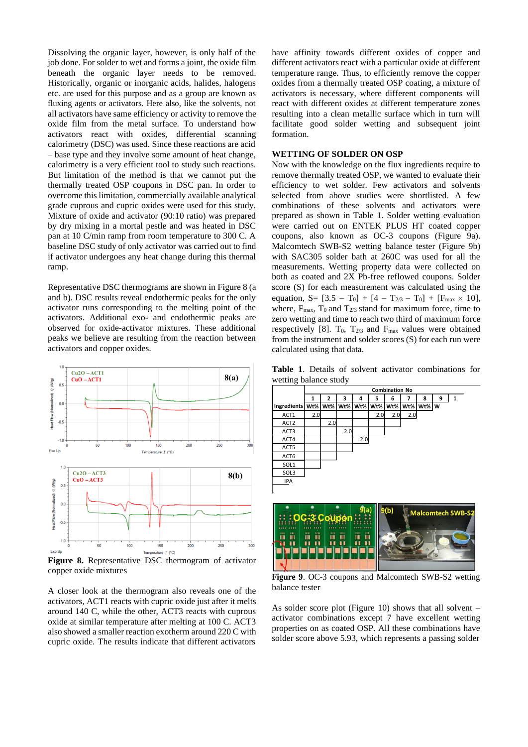Dissolving the organic layer, however, is only half of the job done. For solder to wet and forms a joint, the oxide film beneath the organic layer needs to be removed. Historically, organic or inorganic acids, halides, halogens etc. are used for this purpose and as a group are known as fluxing agents or activators. Here also, like the solvents, not all activators have same efficiency or activity to remove the oxide film from the metal surface. To understand how activators react with oxides, differential scanning calorimetry (DSC) was used. Since these reactions are acid – base type and they involve some amount of heat change, calorimetry is a very efficient tool to study such reactions. But limitation of the method is that we cannot put the thermally treated OSP coupons in DSC pan. In order to overcome this limitation, commercially available analytical grade cuprous and cupric oxides were used for this study. Mixture of oxide and activator (90:10 ratio) was prepared by dry mixing in a mortal pestle and was heated in DSC pan at 10 C/min ramp from room temperature to 300 C. A baseline DSC study of only activator was carried out to find if activator undergoes any heat change during this thermal ramp.

Representative DSC thermograms are shown in Figure 8 (a and b). DSC results reveal endothermic peaks for the only activator runs corresponding to the melting point of the activators. Additional exo- and endothermic peaks are observed for oxide-activator mixtures. These additional peaks we believe are resulting from the reaction between activators and copper oxides.



**Figure 8.** Representative DSC thermogram of activator copper oxide mixtures

A closer look at the thermogram also reveals one of the activators, ACT1 reacts with cupric oxide just after it melts around 140 C, while the other, ACT3 reacts with cuprous oxide at similar temperature after melting at 100 C. ACT3 also showed a smaller reaction exotherm around 220 C with cupric oxide. The results indicate that different activators

have affinity towards different oxides of copper and different activators react with a particular oxide at different temperature range. Thus, to efficiently remove the copper oxides from a thermally treated OSP coating, a mixture of activators is necessary, where different components will react with different oxides at different temperature zones resulting into a clean metallic surface which in turn will facilitate good solder wetting and subsequent joint formation.

### **WETTING OF SOLDER ON OSP**

Now with the knowledge on the flux ingredients require to remove thermally treated OSP, we wanted to evaluate their efficiency to wet solder. Few activators and solvents selected from above studies were shortlisted. A few combinations of these solvents and activators were prepared as shown in Table 1. Solder wetting evaluation were carried out on ENTEK PLUS HT coated copper coupons, also known as OC-3 coupons (Figure 9a). Malcomtech SWB-S2 wetting balance tester (Figure 9b) with SAC305 solder bath at 260C was used for all the measurements. Wetting property data were collected on both as coated and 2X Pb-free reflowed coupons. Solder score (S) for each measurement was calculated using the equation, S=  $[3.5 - T_0] + [4 - T_{2/3} - T_0] + [F_{\text{max}} \times 10]$ , where,  $F_{\text{max}}$ ,  $T_0$  and  $T_{2/3}$  stand for maximum force, time to zero wetting and time to reach two third of maximum force respectively [8].  $T_0$ ,  $T_{2/3}$  and  $F_{\text{max}}$  values were obtained from the instrument and solder scores (S) for each run were calculated using that data.

**Table 1**. Details of solvent activator combinations for wetting balance study

|                  | <b>Combination No</b> |     |         |     |     |     |     |                  |   |   |
|------------------|-----------------------|-----|---------|-----|-----|-----|-----|------------------|---|---|
|                  | 1                     | 2   | 3       | 4   | 5   | 6   | 7   | 8                | 9 | 1 |
| Ingredients      | Wt%                   |     | Wt% Wt% | Wt% | Wt% | Wt% |     | $Wt\%$   Wt%   W |   |   |
| ACT1             | 2.0                   |     |         |     | 2.0 | 2.0 | 2.0 |                  |   |   |
| ACT <sub>2</sub> |                       | 2.0 |         |     |     |     |     |                  |   |   |
| ACT3             |                       |     | 2.0     |     |     |     |     |                  |   |   |
| ACT4             |                       |     |         | 2.0 |     |     |     |                  |   |   |
| ACT5             |                       |     |         |     |     |     |     |                  |   |   |
| ACT6             |                       |     |         |     |     |     |     |                  |   |   |
| SOL <sub>1</sub> |                       |     |         |     |     |     |     |                  |   |   |
| SOL3             |                       |     |         |     |     |     |     |                  |   |   |
| IPA              |                       |     |         |     |     |     |     |                  |   |   |
| L                |                       |     |         |     |     |     |     |                  |   |   |



**Figure 9**. OC-3 coupons and Malcomtech SWB-S2 wetting balance tester

As solder score plot (Figure 10) shows that all solvent  $$ activator combinations except 7 have excellent wetting properties on as coated OSP. All these combinations have solder score above 5.93, which represents a passing solder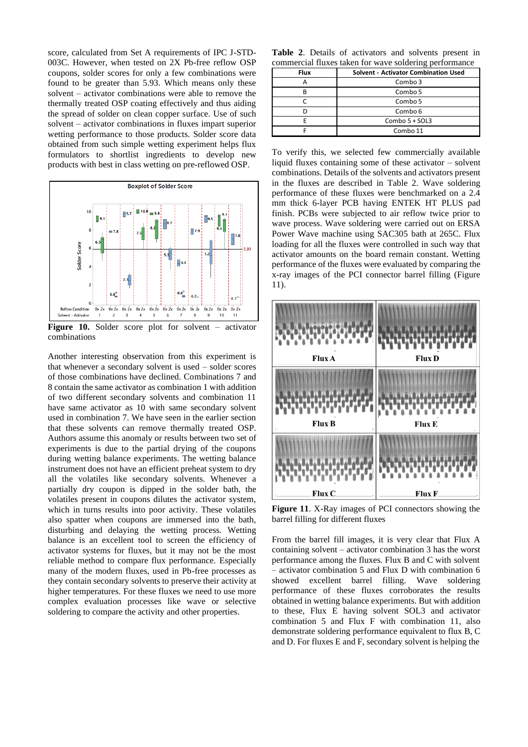score, calculated from Set A requirements of IPC J-STD-003C. However, when tested on 2X Pb-free reflow OSP coupons, solder scores for only a few combinations were found to be greater than 5.93. Which means only these solvent – activator combinations were able to remove the thermally treated OSP coating effectively and thus aiding the spread of solder on clean copper surface. Use of such solvent – activator combinations in fluxes impart superior wetting performance to those products. Solder score data obtained from such simple wetting experiment helps flux formulators to shortlist ingredients to develop new products with best in class wetting on pre-reflowed OSP.



**Figure 10.** Solder score plot for solvent – activator combinations

Another interesting observation from this experiment is that whenever a secondary solvent is used – solder scores of those combinations have declined. Combinations 7 and 8 contain the same activator as combination 1 with addition of two different secondary solvents and combination 11 have same activator as 10 with same secondary solvent used in combination 7. We have seen in the earlier section that these solvents can remove thermally treated OSP. Authors assume this anomaly or results between two set of experiments is due to the partial drying of the coupons during wetting balance experiments. The wetting balance instrument does not have an efficient preheat system to dry all the volatiles like secondary solvents. Whenever a partially dry coupon is dipped in the solder bath, the volatiles present in coupons dilutes the activator system, which in turns results into poor activity. These volatiles also spatter when coupons are immersed into the bath, disturbing and delaying the wetting process. Wetting balance is an excellent tool to screen the efficiency of activator systems for fluxes, but it may not be the most reliable method to compare flux performance. Especially many of the modern fluxes, used in Pb-free processes as they contain secondary solvents to preserve their activity at higher temperatures. For these fluxes we need to use more complex evaluation processes like wave or selective soldering to compare the activity and other properties.

**Table 2**. Details of activators and solvents present in commercial fluxes taken for wave soldering performance

| <b>Flux</b> | <b>Solvent - Activator Combination Used</b> |
|-------------|---------------------------------------------|
|             | Combo 3                                     |
|             | Combo 5                                     |
|             | Combo 5                                     |
|             | Combo 6                                     |
|             | Combo 5 + SOL3                              |
|             | Combo 11                                    |

To verify this, we selected few commercially available liquid fluxes containing some of these activator – solvent combinations. Details of the solvents and activators present in the fluxes are described in Table 2. Wave soldering performance of these fluxes were benchmarked on a 2.4 mm thick 6-layer PCB having ENTEK HT PLUS pad finish. PCBs were subjected to air reflow twice prior to wave process. Wave soldering were carried out on ERSA Power Wave machine using SAC305 bath at 265C. Flux loading for all the fluxes were controlled in such way that activator amounts on the board remain constant. Wetting performance of the fluxes were evaluated by comparing the x-ray images of the PCI connector barrel filling (Figure 11).



**Figure 11**. X-Ray images of PCI connectors showing the barrel filling for different fluxes

From the barrel fill images, it is very clear that Flux A containing solvent – activator combination 3 has the worst performance among the fluxes. Flux B and C with solvent – activator combination 5 and Flux D with combination 6 showed excellent barrel filling. Wave soldering performance of these fluxes corroborates the results obtained in wetting balance experiments. But with addition to these, Flux E having solvent SOL3 and activator combination 5 and Flux F with combination 11, also demonstrate soldering performance equivalent to flux B, C and D. For fluxes E and F, secondary solvent is helping the